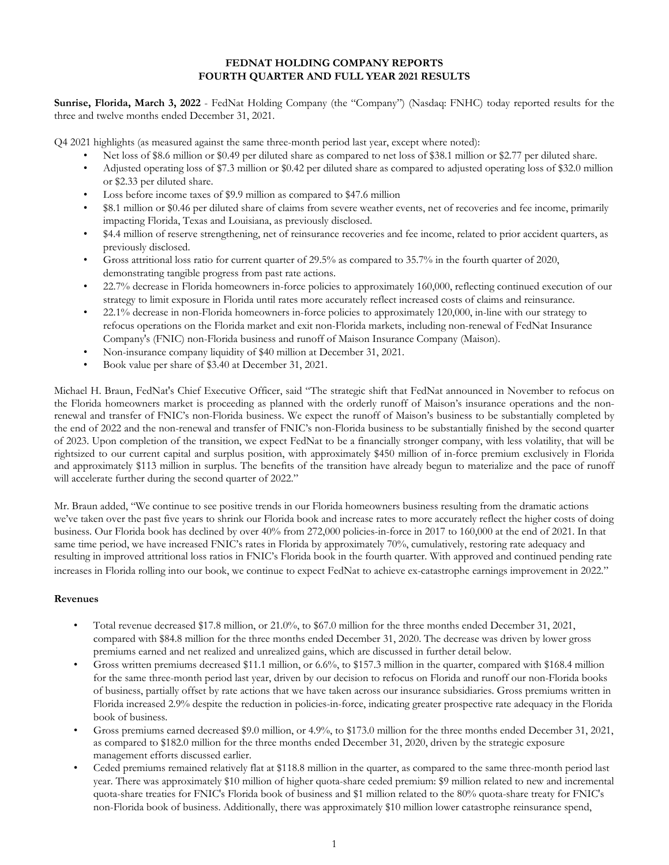#### **FEDNAT HOLDING COMPANY REPORTS FOURTH QUARTER AND FULL YEAR 2021 RESULTS**

**Sunrise, Florida, March 3, 2022** - FedNat Holding Company (the "Company") (Nasdaq: FNHC) today reported results for the three and twelve months ended December 31, 2021.

Q4 2021 highlights (as measured against the same three-month period last year, except where noted):

- Net loss of \$8.6 million or \$0.49 per diluted share as compared to net loss of \$38.1 million or \$2.77 per diluted share.
- Adjusted operating loss of \$7.3 million or \$0.42 per diluted share as compared to adjusted operating loss of \$32.0 million or \$2.33 per diluted share.
- Loss before income taxes of \$9.9 million as compared to \$47.6 million
- \$8.1 million or \$0.46 per diluted share of claims from severe weather events, net of recoveries and fee income, primarily impacting Florida, Texas and Louisiana, as previously disclosed.
- \$4.4 million of reserve strengthening, net of reinsurance recoveries and fee income, related to prior accident quarters, as previously disclosed.
- Gross attritional loss ratio for current quarter of 29.5% as compared to 35.7% in the fourth quarter of 2020, demonstrating tangible progress from past rate actions.
- 22.7% decrease in Florida homeowners in-force policies to approximately 160,000, reflecting continued execution of our strategy to limit exposure in Florida until rates more accurately reflect increased costs of claims and reinsurance.
- 22.1% decrease in non-Florida homeowners in-force policies to approximately 120,000, in-line with our strategy to refocus operations on the Florida market and exit non-Florida markets, including non-renewal of FedNat Insurance Company's (FNIC) non-Florida business and runoff of Maison Insurance Company (Maison).
- Non-insurance company liquidity of \$40 million at December 31, 2021.
- Book value per share of \$3.40 at December 31, 2021.

Michael H. Braun, FedNat's Chief Executive Officer, said "The strategic shift that FedNat announced in November to refocus on the Florida homeowners market is proceeding as planned with the orderly runoff of Maison's insurance operations and the nonrenewal and transfer of FNIC's non-Florida business. We expect the runoff of Maison's business to be substantially completed by the end of 2022 and the non-renewal and transfer of FNIC's non-Florida business to be substantially finished by the second quarter of 2023. Upon completion of the transition, we expect FedNat to be a financially stronger company, with less volatility, that will be rightsized to our current capital and surplus position, with approximately \$450 million of in-force premium exclusively in Florida and approximately \$113 million in surplus. The benefits of the transition have already begun to materialize and the pace of runoff will accelerate further during the second quarter of 2022."

Mr. Braun added, "We continue to see positive trends in our Florida homeowners business resulting from the dramatic actions we've taken over the past five years to shrink our Florida book and increase rates to more accurately reflect the higher costs of doing business. Our Florida book has declined by over 40% from 272,000 policies-in-force in 2017 to 160,000 at the end of 2021. In that same time period, we have increased FNIC's rates in Florida by approximately 70%, cumulatively, restoring rate adequacy and resulting in improved attritional loss ratios in FNIC's Florida book in the fourth quarter. With approved and continued pending rate increases in Florida rolling into our book, we continue to expect FedNat to achieve ex-catastrophe earnings improvement in 2022."

### **Revenues**

- Total revenue decreased \$17.8 million, or 21.0%, to \$67.0 million for the three months ended December 31, 2021, compared with \$84.8 million for the three months ended December 31, 2020. The decrease was driven by lower gross premiums earned and net realized and unrealized gains, which are discussed in further detail below.
- Gross written premiums decreased \$11.1 million, or 6.6%, to \$157.3 million in the quarter, compared with \$168.4 million for the same three-month period last year, driven by our decision to refocus on Florida and runoff our non-Florida books of business, partially offset by rate actions that we have taken across our insurance subsidiaries. Gross premiums written in Florida increased 2.9% despite the reduction in policies-in-force, indicating greater prospective rate adequacy in the Florida book of business.
- Gross premiums earned decreased \$9.0 million, or 4.9%, to \$173.0 million for the three months ended December 31, 2021, as compared to \$182.0 million for the three months ended December 31, 2020, driven by the strategic exposure management efforts discussed earlier.
- Ceded premiums remained relatively flat at \$118.8 million in the quarter, as compared to the same three-month period last year. There was approximately \$10 million of higher quota-share ceded premium: \$9 million related to new and incremental quota-share treaties for FNIC's Florida book of business and \$1 million related to the 80% quota-share treaty for FNIC's non-Florida book of business. Additionally, there was approximately \$10 million lower catastrophe reinsurance spend,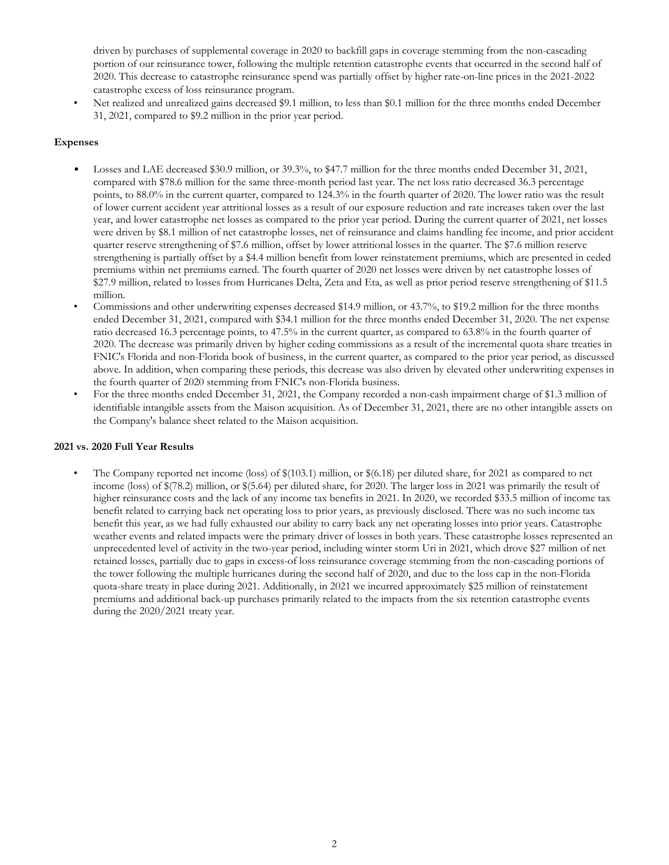driven by purchases of supplemental coverage in 2020 to backfill gaps in coverage stemming from the non-cascading portion of our reinsurance tower, following the multiple retention catastrophe events that occurred in the second half of 2020. This decrease to catastrophe reinsurance spend was partially offset by higher rate-on-line prices in the 2021-2022 catastrophe excess of loss reinsurance program.

• Net realized and unrealized gains decreased \$9.1 million, to less than \$0.1 million for the three months ended December 31, 2021, compared to \$9.2 million in the prior year period.

### **Expenses**

- Losses and LAE decreased \$30.9 million, or 39.3%, to \$47.7 million for the three months ended December 31, 2021, compared with \$78.6 million for the same three-month period last year. The net loss ratio decreased 36.3 percentage points, to 88.0% in the current quarter, compared to 124.3% in the fourth quarter of 2020. The lower ratio was the result of lower current accident year attritional losses as a result of our exposure reduction and rate increases taken over the last year, and lower catastrophe net losses as compared to the prior year period. During the current quarter of 2021, net losses were driven by \$8.1 million of net catastrophe losses, net of reinsurance and claims handling fee income, and prior accident quarter reserve strengthening of \$7.6 million, offset by lower attritional losses in the quarter. The \$7.6 million reserve strengthening is partially offset by a \$4.4 million benefit from lower reinstatement premiums, which are presented in ceded premiums within net premiums earned. The fourth quarter of 2020 net losses were driven by net catastrophe losses of \$27.9 million, related to losses from Hurricanes Delta, Zeta and Eta, as well as prior period reserve strengthening of \$11.5 million.
- Commissions and other underwriting expenses decreased \$14.9 million, or 43.7%, to \$19.2 million for the three months ended December 31, 2021, compared with \$34.1 million for the three months ended December 31, 2020. The net expense ratio decreased 16.3 percentage points, to 47.5% in the current quarter, as compared to 63.8% in the fourth quarter of 2020. The decrease was primarily driven by higher ceding commissions as a result of the incremental quota share treaties in FNIC's Florida and non-Florida book of business, in the current quarter, as compared to the prior year period, as discussed above. In addition, when comparing these periods, this decrease was also driven by elevated other underwriting expenses in the fourth quarter of 2020 stemming from FNIC's non-Florida business.
- For the three months ended December 31, 2021, the Company recorded a non-cash impairment charge of \$1.3 million of identifiable intangible assets from the Maison acquisition. As of December 31, 2021, there are no other intangible assets on the Company's balance sheet related to the Maison acquisition.

#### **2021 vs. 2020 Full Year Results**

• The Company reported net income (loss) of \$(103.1) million, or \$(6.18) per diluted share, for 2021 as compared to net income (loss) of \$(78.2) million, or \$(5.64) per diluted share, for 2020. The larger loss in 2021 was primarily the result of higher reinsurance costs and the lack of any income tax benefits in 2021. In 2020, we recorded \$33.5 million of income tax benefit related to carrying back net operating loss to prior years, as previously disclosed. There was no such income tax benefit this year, as we had fully exhausted our ability to carry back any net operating losses into prior years. Catastrophe weather events and related impacts were the primary driver of losses in both years. These catastrophe losses represented an unprecedented level of activity in the two-year period, including winter storm Uri in 2021, which drove \$27 million of net retained losses, partially due to gaps in excess-of loss reinsurance coverage stemming from the non-cascading portions of the tower following the multiple hurricanes during the second half of 2020, and due to the loss cap in the non-Florida quota-share treaty in place during 2021. Additionally, in 2021 we incurred approximately \$25 million of reinstatement premiums and additional back-up purchases primarily related to the impacts from the six retention catastrophe events during the 2020/2021 treaty year.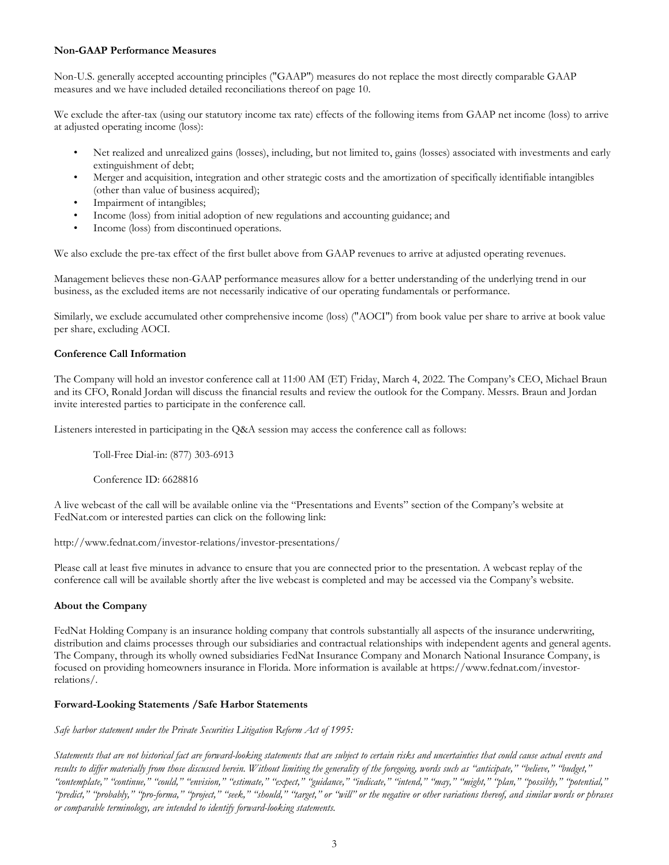### **Non-GAAP Performance Measures**

Non-U.S. generally accepted accounting principles ("GAAP") measures do not replace the most directly comparable GAAP measures and we have included detailed reconciliations thereof on page 10.

We exclude the after-tax (using our statutory income tax rate) effects of the following items from GAAP net income (loss) to arrive at adjusted operating income (loss):

- Net realized and unrealized gains (losses), including, but not limited to, gains (losses) associated with investments and early extinguishment of debt;
- Merger and acquisition, integration and other strategic costs and the amortization of specifically identifiable intangibles (other than value of business acquired);
- Impairment of intangibles;
- Income (loss) from initial adoption of new regulations and accounting guidance; and
- Income (loss) from discontinued operations.

We also exclude the pre-tax effect of the first bullet above from GAAP revenues to arrive at adjusted operating revenues.

Management believes these non-GAAP performance measures allow for a better understanding of the underlying trend in our business, as the excluded items are not necessarily indicative of our operating fundamentals or performance.

Similarly, we exclude accumulated other comprehensive income (loss) ("AOCI") from book value per share to arrive at book value per share, excluding AOCI.

### **Conference Call Information**

The Company will hold an investor conference call at 11:00 AM (ET) Friday, March 4, 2022. The Company's CEO, Michael Braun and its CFO, Ronald Jordan will discuss the financial results and review the outlook for the Company. Messrs. Braun and Jordan invite interested parties to participate in the conference call.

Listeners interested in participating in the Q&A session may access the conference call as follows:

Toll-Free Dial-in: (877) 303-6913

Conference ID: 6628816

A live webcast of the call will be available online via the "Presentations and Events" section of the Company's website at FedNat.com or interested parties can click on the following link:

```
http://www.fednat.com/investor-relations/investor-presentations/
```
Please call at least five minutes in advance to ensure that you are connected prior to the presentation. A webcast replay of the conference call will be available shortly after the live webcast is completed and may be accessed via the Company's website.

### **About the Company**

FedNat Holding Company is an insurance holding company that controls substantially all aspects of the insurance underwriting, distribution and claims processes through our subsidiaries and contractual relationships with independent agents and general agents. The Company, through its wholly owned subsidiaries FedNat Insurance Company and Monarch National Insurance Company, is focused on providing homeowners insurance in Florida. More information is available at https://www.fednat.com/investorrelations/.

### **Forward-Looking Statements /Safe Harbor Statements**

*Safe harbor statement under the Private Securities Litigation Reform Act of 1995:*

*Statements that are not historical fact are forward-looking statements that are subject to certain risks and uncertainties that could cause actual events and results to differ materially from those discussed herein. Without limiting the generality of the foregoing, words such as "anticipate," "believe," "budget," "contemplate," "continue," "could," "envision," "estimate," "expect," "guidance," "indicate," "intend," "may," "might," "plan," "possibly," "potential," "predict," "probably," "pro-forma," "project," "seek," "should," "target," or "will" or the negative or other variations thereof, and similar words or phrases or comparable terminology, are intended to identify forward-looking statements.*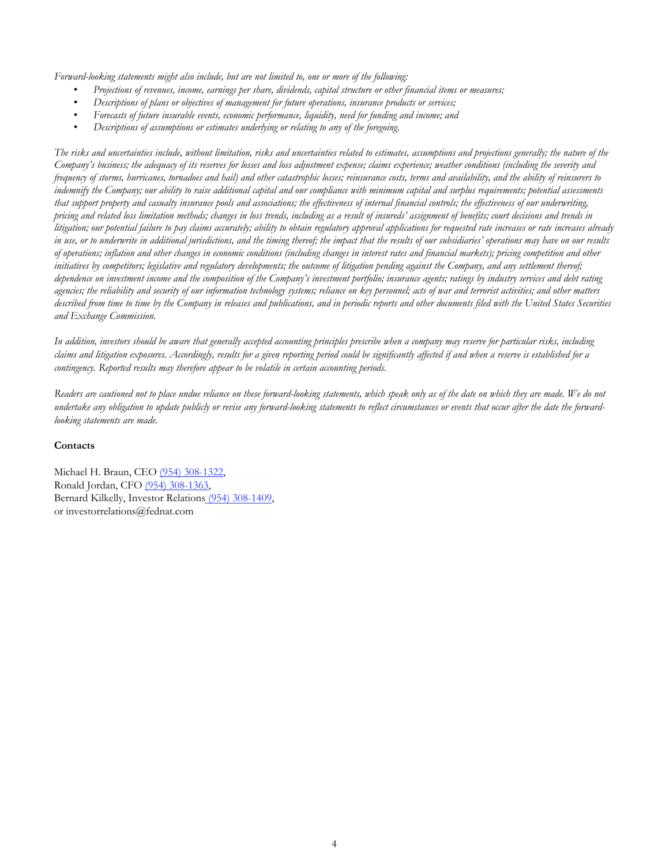*Forward-looking statements might also include, but are not limited to, one or more of the following:*

- *Projections of revenues, income, earnings per share, dividends, capital structure or other financial items or measures;*
- *Descriptions of plans or objectives of management for future operations, insurance products or services;*
- *Forecasts of future insurable events, economic performance, liquidity, need for funding and income; and*
- *Descriptions of assumptions or estimates underlying or relating to any of the foregoing.*

*The risks and uncertainties include, without limitation, risks and uncertainties related to estimates, assumptions and projections generally; the nature of the Company's business; the adequacy of its reserves for losses and loss adjustment expense; claims experience; weather conditions (including the severity and frequency of storms, hurricanes, tornadoes and hail) and other catastrophic losses; reinsurance costs, terms and availability, and the ability of reinsurers to indemnify the Company; our ability to raise additional capital and our compliance with minimum capital and surplus requirements; potential assessments that support property and casualty insurance pools and associations; the effectiveness of internal financial controls; the effectiveness of our underwriting, pricing and related loss limitation methods; changes in loss trends, including as a result of insureds' assignment of benefits; court decisions and trends in litigation; our potential failure to pay claims accurately; ability to obtain regulatory approval applications for requested rate increases or rate increases already in use, or to underwrite in additional jurisdictions, and the timing thereof; the impact that the results of our subsidiaries' operations may have on our results of operations; inflation and other changes in economic conditions (including changes in interest rates and financial markets); pricing competition and other initiatives by competitors; legislative and regulatory developments; the outcome of litigation pending against the Company, and any settlement thereof; dependence on investment income and the composition of the Company's investment portfolio; insurance agents; ratings by industry services and debt rating agencies; the reliability and security of our information technology systems; reliance on key personnel; acts of war and terrorist activities; and other matters described from time to time by the Company in releases and publications, and in periodic reports and other documents filed with the United States Securities and Exchange Commission.*

*In addition, investors should be aware that generally accepted accounting principles prescribe when a company may reserve for particular risks, including claims and litigation exposures. Accordingly, results for a given reporting period could be significantly affected if and when a reserve is established for a contingency. Reported results may therefore appear to be volatile in certain accounting periods.*

*Readers are cautioned not to place undue reliance on these forward-looking statements, which speak only as of the date on which they are made. We do not undertake any obligation to update publicly or revise any forward-looking statements to reflect circumstances or events that occur after the date the forwardlooking statements are made.*

### **Contacts**

Michael H. Braun, CEO (954) 308-1322, Ronald Jordan, CFO (954) 308-1363, Bernard Kilkelly, Investor Relations (954) 308-1409, or investorrelations@fednat.com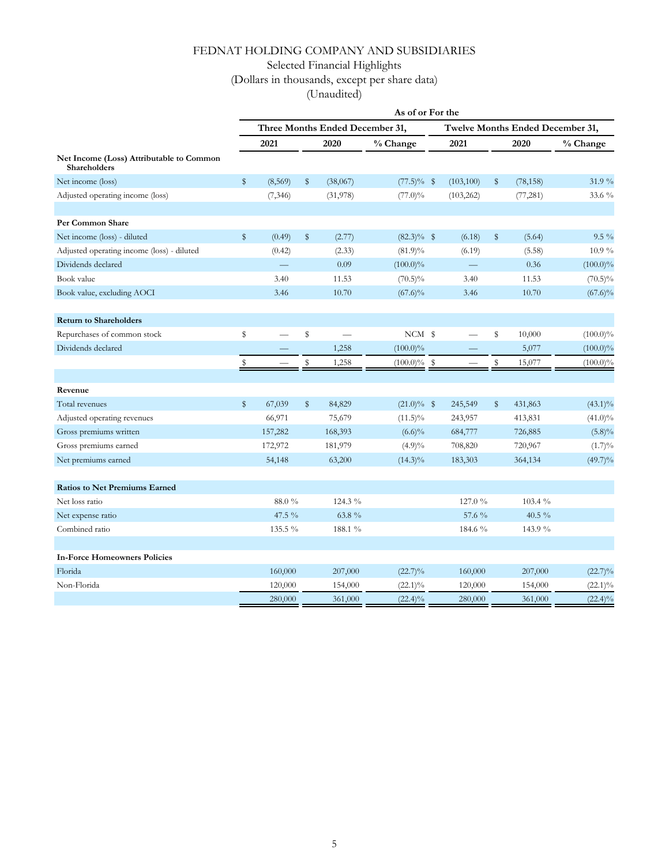Selected Financial Highlights

## (Dollars in thousands, except per share data)

|                                                                 | As of or For the                |          |    |          |                |  |                                  |    |           |             |
|-----------------------------------------------------------------|---------------------------------|----------|----|----------|----------------|--|----------------------------------|----|-----------|-------------|
|                                                                 | Three Months Ended December 31, |          |    |          |                |  | Twelve Months Ended December 31, |    |           |             |
|                                                                 |                                 | 2021     |    | 2020     | % Change       |  | 2021                             |    | 2020      | % Change    |
| Net Income (Loss) Attributable to Common<br><b>Shareholders</b> |                                 |          |    |          |                |  |                                  |    |           |             |
| Net income (loss)                                               | \$                              | (8,569)  | \$ | (38,067) | $(77.5)\%$ \$  |  | (103, 100)                       | \$ | (78, 158) | 31.9 %      |
| Adjusted operating income (loss)                                |                                 | (7, 346) |    | (31,978) | $(77.0)\%$     |  | (103, 262)                       |    | (77, 281) | 33.6 %      |
| Per Common Share                                                |                                 |          |    |          |                |  |                                  |    |           |             |
| Net income (loss) - diluted                                     | \$                              | (0.49)   | \$ | (2.77)   | $(82.3)\%$ \$  |  | (6.18)                           | \$ | (5.64)    | $9.5\%$     |
| Adjusted operating income (loss) - diluted                      |                                 | (0.42)   |    | (2.33)   | $(81.9)\%$     |  | (6.19)                           |    | (5.58)    | $10.9\%$    |
| Dividends declared                                              |                                 |          |    | 0.09     | $(100.0)\%$    |  |                                  |    | 0.36      | $(100.0)\%$ |
| Book value                                                      |                                 | 3.40     |    | 11.53    | $(70.5)\%$     |  | 3.40                             |    | 11.53     | $(70.5)\%$  |
| Book value, excluding AOCI                                      |                                 | 3.46     |    | 10.70    | $(67.6)\%$     |  | 3.46                             |    | 10.70     | $(67.6)\%$  |
| <b>Return to Shareholders</b>                                   |                                 |          |    |          |                |  |                                  |    |           |             |
| Repurchases of common stock                                     | \$                              |          | \$ |          | NCM \$         |  |                                  | \$ | 10,000    | $(100.0)\%$ |
| Dividends declared                                              |                                 |          |    | 1,258    | $(100.0)\%$    |  |                                  |    | 5,077     | $(100.0)\%$ |
|                                                                 | \$                              |          | \$ | 1,258    | $(100.0)\%$ \$ |  |                                  | \$ | 15,077    | $(100.0)\%$ |
|                                                                 |                                 |          |    |          |                |  |                                  |    |           |             |
| Revenue                                                         |                                 |          |    |          |                |  |                                  |    |           |             |
| Total revenues                                                  | $\mathbb{S}$                    | 67,039   | \$ | 84,829   | $(21.0)\%$ \$  |  | 245,549                          | \$ | 431,863   | $(43.1)\%$  |
| Adjusted operating revenues                                     |                                 | 66,971   |    | 75,679   | $(11.5)\%$     |  | 243,957                          |    | 413,831   | $(41.0)\%$  |
| Gross premiums written                                          |                                 | 157,282  |    | 168,393  | $(6.6)\%$      |  | 684,777                          |    | 726,885   | $(5.8)\%$   |
| Gross premiums earned                                           |                                 | 172,972  |    | 181,979  | $(4.9)\%$      |  | 708,820                          |    | 720,967   | $(1.7)\%$   |
| Net premiums earned                                             |                                 | 54,148   |    | 63,200   | $(14.3)\%$     |  | 183,303                          |    | 364,134   | $(49.7)\%$  |
| <b>Ratios to Net Premiums Earned</b>                            |                                 |          |    |          |                |  |                                  |    |           |             |
| Net loss ratio                                                  |                                 | 88.0%    |    | 124.3 %  |                |  | 127.0 %                          |    | 103.4 %   |             |
| Net expense ratio                                               |                                 | 47.5 %   |    | 63.8 %   |                |  | 57.6 %                           |    | 40.5 %    |             |
| Combined ratio                                                  |                                 | 135.5 %  |    | 188.1 %  |                |  | 184.6 %                          |    | 143.9 %   |             |
| <b>In-Force Homeowners Policies</b>                             |                                 |          |    |          |                |  |                                  |    |           |             |
| Florida                                                         |                                 | 160,000  |    | 207,000  | $(22.7)\%$     |  | 160,000                          |    | 207,000   | $(22.7)\%$  |
| Non-Florida                                                     |                                 | 120,000  |    | 154,000  | $(22.1)\%$     |  | 120,000                          |    | 154,000   | $(22.1)\%$  |
|                                                                 |                                 | 280,000  |    | 361,000  | $(22.4)\%$     |  | 280,000                          |    | 361,000   | $(22.4)\%$  |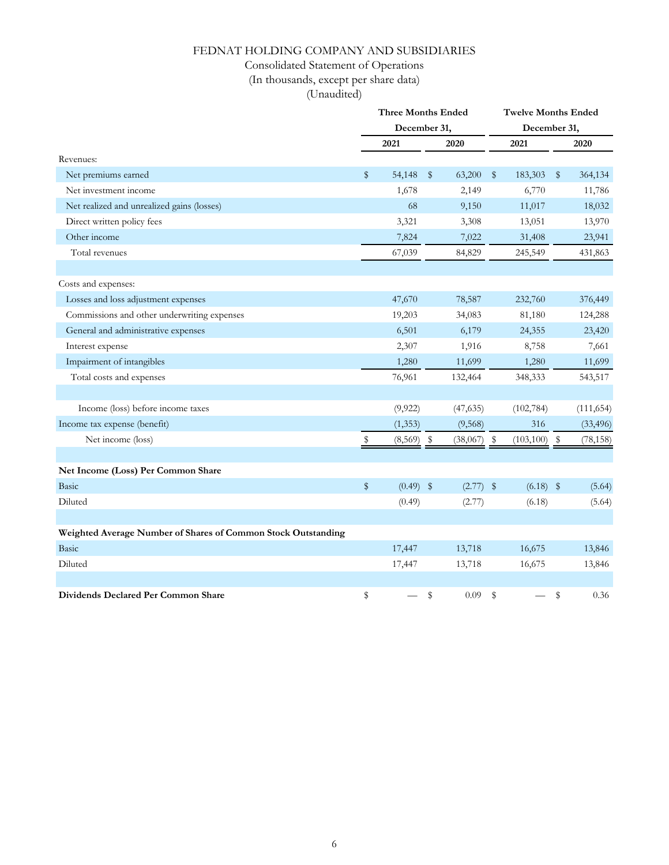### Consolidated Statement of Operations

(In thousands, except per share data)

|                                                               | <b>Three Months Ended</b><br>December 31, |              |    |             | <b>Twelve Months Ended</b> |            |      |            |  |
|---------------------------------------------------------------|-------------------------------------------|--------------|----|-------------|----------------------------|------------|------|------------|--|
|                                                               |                                           |              |    |             | December 31,               |            |      |            |  |
|                                                               |                                           | 2021         |    | 2020        |                            | 2021       |      | 2020       |  |
| Revenues:                                                     |                                           |              |    |             |                            |            |      |            |  |
| Net premiums earned                                           | \$                                        | 54,148       | \$ | 63,200      | \$                         | 183,303    | \$   | 364,134    |  |
| Net investment income                                         |                                           | 1,678        |    | 2,149       |                            | 6,770      |      | 11,786     |  |
| Net realized and unrealized gains (losses)                    |                                           | 68           |    | 9,150       |                            | 11,017     |      | 18,032     |  |
| Direct written policy fees                                    |                                           | 3,321        |    | 3,308       |                            | 13,051     |      | 13,970     |  |
| Other income                                                  |                                           | 7,824        |    | 7,022       |                            | 31,408     |      | 23,941     |  |
| Total revenues                                                |                                           | 67,039       |    | 84,829      |                            | 245,549    |      | 431,863    |  |
|                                                               |                                           |              |    |             |                            |            |      |            |  |
| Costs and expenses:                                           |                                           |              |    |             |                            |            |      |            |  |
| Losses and loss adjustment expenses                           |                                           | 47,670       |    | 78,587      |                            | 232,760    |      | 376,449    |  |
| Commissions and other underwriting expenses                   |                                           | 19,203       |    | 34,083      |                            | 81,180     |      | 124,288    |  |
| General and administrative expenses                           |                                           | 6,501        |    | 6,179       |                            | 24,355     |      | 23,420     |  |
| Interest expense                                              |                                           | 2,307        |    | 1,916       |                            | 8,758      |      | 7,661      |  |
| Impairment of intangibles                                     |                                           | 1,280        |    | 11,699      |                            | 1,280      |      | 11,699     |  |
| Total costs and expenses                                      |                                           | 76,961       |    | 132,464     |                            | 348,333    |      | 543,517    |  |
|                                                               |                                           |              |    |             |                            |            |      |            |  |
| Income (loss) before income taxes                             |                                           | (9, 922)     |    | (47, 635)   |                            | (102, 784) |      | (111, 654) |  |
| Income tax expense (benefit)                                  |                                           | (1, 353)     |    | (9, 568)    |                            | 316        |      | (33, 496)  |  |
| Net income (loss)                                             | Ş.                                        | $(8,569)$ \$ |    | (38,067)    | - \$                       | (103, 100) | - \$ | (78, 158)  |  |
|                                                               |                                           |              |    |             |                            |            |      |            |  |
| Net Income (Loss) Per Common Share                            |                                           |              |    |             |                            |            |      |            |  |
| Basic                                                         | \$                                        | $(0.49)$ \$  |    | $(2.77)$ \$ |                            | (6.18)     | \$   | (5.64)     |  |
| Diluted                                                       |                                           | (0.49)       |    | (2.77)      |                            | (6.18)     |      | (5.64)     |  |
|                                                               |                                           |              |    |             |                            |            |      |            |  |
| Weighted Average Number of Shares of Common Stock Outstanding |                                           |              |    |             |                            |            |      |            |  |
| Basic                                                         |                                           | 17,447       |    | 13,718      |                            | 16,675     |      | 13,846     |  |
| Diluted                                                       |                                           | 17,447       |    | 13,718      |                            | 16,675     |      | 13,846     |  |
|                                                               |                                           |              |    |             |                            |            |      |            |  |
| Dividends Declared Per Common Share                           | \$                                        |              | \$ | 0.09        | \$                         |            | \$   | 0.36       |  |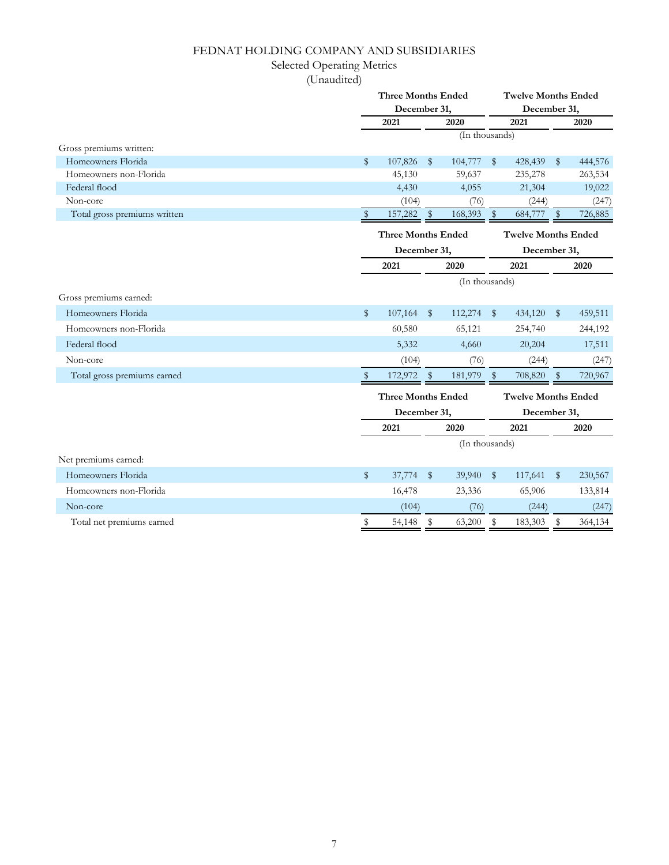## Selected Operating Metrics

|                              |              | <b>Three Months Ended</b>    |               |                | <b>Twelve Months Ended</b> |         |                                            |         |  |
|------------------------------|--------------|------------------------------|---------------|----------------|----------------------------|---------|--------------------------------------------|---------|--|
|                              |              | December 31,                 |               |                |                            |         | December 31,                               |         |  |
|                              | 2020<br>2021 |                              | 2021          |                |                            | 2020    |                                            |         |  |
|                              |              |                              |               |                | (In thousands)             |         |                                            |         |  |
| Gross premiums written:      |              |                              |               |                |                            |         |                                            |         |  |
| Homeowners Florida           | \$           | 107,826                      | $\mathbb{S}$  | 104,777        | $\sqrt{3}$                 | 428,439 | $\mathbb{S}$                               | 444,576 |  |
| Homeowners non-Florida       |              | 45,130                       |               | 59,637         |                            | 235,278 |                                            | 263,534 |  |
| Federal flood                |              | 4,430                        |               | 4,055          |                            | 21,304  |                                            | 19,022  |  |
| Non-core                     |              | (104)                        |               | (76)           |                            | (244)   |                                            | (247)   |  |
| Total gross premiums written | $\mathbb{S}$ | 157,282                      | $\frac{1}{2}$ | 168,393        | $\sqrt[6]{\frac{1}{2}}$    | 684,777 | $\mathbb{S}$                               | 726,885 |  |
|                              |              | <b>Three Months Ended</b>    |               |                |                            |         | <b>Twelve Months Ended</b><br>December 31, |         |  |
|                              |              | December 31,                 |               |                |                            |         |                                            |         |  |
|                              | 2021<br>2020 |                              |               |                |                            | 2021    | 2020                                       |         |  |
|                              |              |                              |               | (In thousands) |                            |         |                                            |         |  |
| Gross premiums earned:       |              |                              |               |                |                            |         |                                            |         |  |
| Homeowners Florida           | $\mathbb{S}$ | 107,164                      | $\mathbb{S}$  | 112,274        | $\mathbb{S}$               | 434,120 | $\mathbb{S}$                               | 459,511 |  |
| Homeowners non-Florida       |              | 60,580                       |               | 65,121         |                            | 254,740 |                                            | 244,192 |  |
| Federal flood                |              | 5,332                        |               | 4,660          |                            | 20,204  |                                            | 17,511  |  |
| Non-core                     |              | (104)                        |               | (76)           |                            | (244)   |                                            | (247)   |  |
| Total gross premiums earned  | S            | 172,972                      | \$            | 181,979        | $\mathbb{S}$               | 708,820 | $\mathbb{S}$                               | 720,967 |  |
|                              |              | <b>Three Months Ended</b>    |               |                |                            |         | <b>Twelve Months Ended</b>                 |         |  |
|                              |              | December 31,<br>2021<br>2020 |               |                | December 31,               |         |                                            |         |  |
|                              |              |                              |               |                |                            | 2021    |                                            | 2020    |  |
|                              |              | (In thousands)               |               |                |                            |         |                                            |         |  |
| Net premiums earned:         |              |                              |               |                |                            |         |                                            |         |  |
| Homeowners Florida           | \$           | 37,774                       | \$            | 39,940         | $\frac{1}{2}$              | 117,641 | $\mathbb{S}$                               | 230,567 |  |
| Homeowners non-Florida       |              | 16,478                       |               | 23,336         |                            | 65,906  |                                            | 133,814 |  |
| Non-core                     |              | (104)                        |               | (76)           |                            | (244)   |                                            | (247)   |  |
| Total net premiums earned    | \$           | 54,148                       | \$            | 63,200         | \$                         | 183,303 | \$                                         | 364,134 |  |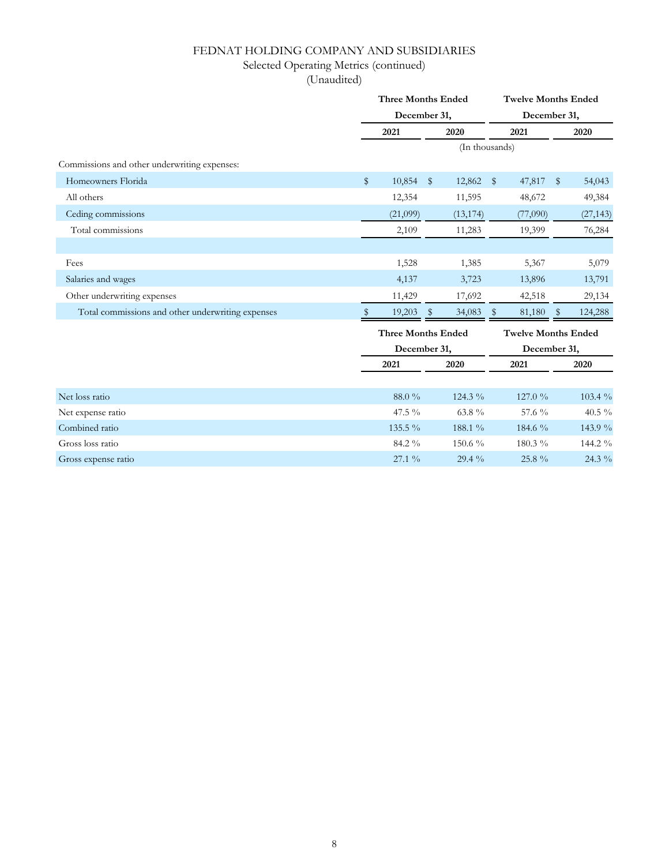## Selected Operating Metrics (continued)

|                                                   |      | <b>Three Months Ended</b> |       | <b>Twelve Months Ended</b> |                            |          |               |           |  |
|---------------------------------------------------|------|---------------------------|-------|----------------------------|----------------------------|----------|---------------|-----------|--|
|                                                   |      | December 31,              |       | December 31,               |                            |          |               |           |  |
|                                                   |      | 2021                      | 2020  |                            |                            | 2021     |               | 2020      |  |
|                                                   |      |                           |       |                            | (In thousands)             |          |               |           |  |
| Commissions and other underwriting expenses:      |      |                           |       |                            |                            |          |               |           |  |
| Homeowners Florida                                | $\,$ | 10,854                    | $\$\$ | 12,862                     | $\sqrt{3}$                 | 47,817   | $\mathbb{S}$  | 54,043    |  |
| All others                                        |      | 12,354                    |       | 11,595                     |                            | 48,672   |               | 49,384    |  |
| Ceding commissions                                |      | (21,099)                  |       | (13, 174)                  |                            | (77,090) |               | (27, 143) |  |
| Total commissions                                 |      | 2,109                     |       | 11,283                     |                            | 19,399   |               | 76,284    |  |
|                                                   |      |                           |       |                            |                            |          |               |           |  |
| Fees                                              |      | 1,528                     |       | 1,385                      |                            | 5,367    |               | 5,079     |  |
| Salaries and wages                                |      | 4,137                     |       | 3,723                      |                            | 13,896   |               | 13,791    |  |
| Other underwriting expenses                       |      | 11,429                    |       | 17,692                     |                            | 42,518   |               | 29,134    |  |
| Total commissions and other underwriting expenses |      | 19,203                    | -S    | 34,083                     | - \$                       | 81,180   | $\mathcal{R}$ | 124,288   |  |
|                                                   |      | <b>Three Months Ended</b> |       |                            | <b>Twelve Months Ended</b> |          |               |           |  |
|                                                   |      | December 31,              |       |                            | December 31,               |          |               |           |  |
|                                                   |      | 2021                      | 2020  |                            | 2021                       |          |               | 2020      |  |
|                                                   |      |                           |       |                            |                            |          |               |           |  |
| Net loss ratio                                    |      | 88.0%                     |       | 124.3 %                    |                            | 127.0%   |               | 103.4 %   |  |
| Net expense ratio                                 |      | 47.5 %                    |       | 63.8 $\%$                  |                            | 57.6 %   |               | 40.5 %    |  |
| Combined ratio                                    |      | 135.5 %                   |       | 188.1 %                    |                            | 184.6 %  |               | 143.9 %   |  |
| Gross loss ratio                                  |      | 84.2 %                    |       | 150.6 %                    |                            | 180.3 %  |               | 144.2 %   |  |
| Gross expense ratio                               |      | $27.1\%$                  |       | 29.4 %                     |                            | 25.8 %   |               | 24.3 %    |  |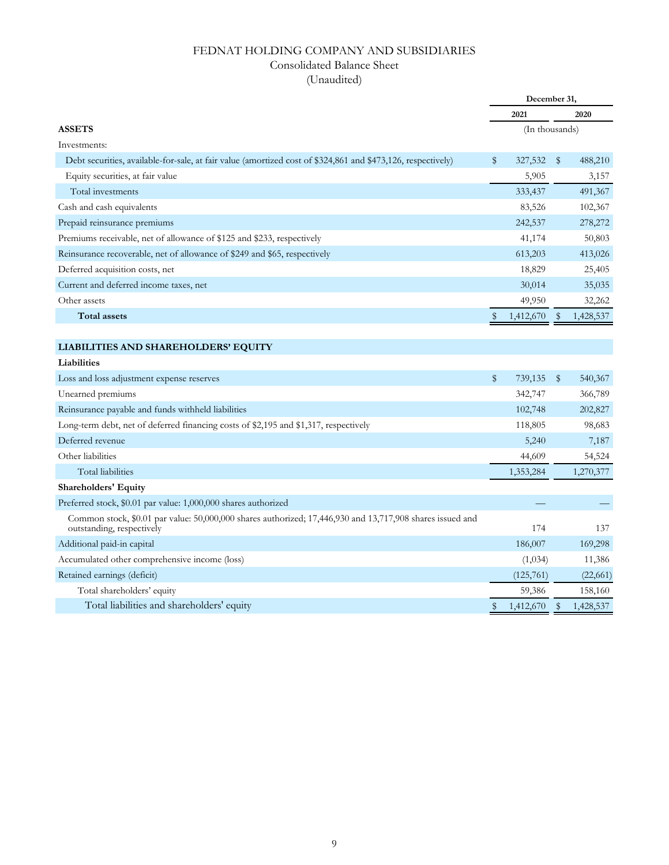### Consolidated Balance Sheet

|                                                                                                                                        | December 31, |           |                        |           |  |
|----------------------------------------------------------------------------------------------------------------------------------------|--------------|-----------|------------------------|-----------|--|
|                                                                                                                                        |              | 2021      | 2020<br>(In thousands) |           |  |
| <b>ASSETS</b>                                                                                                                          |              |           |                        |           |  |
| Investments:                                                                                                                           |              |           |                        |           |  |
| Debt securities, available-for-sale, at fair value (amortized cost of \$324,861 and \$473,126, respectively)                           | \$           | 327,532   | $\sqrt[6]{2}$          | 488,210   |  |
| Equity securities, at fair value                                                                                                       |              | 5,905     |                        | 3,157     |  |
| Total investments                                                                                                                      |              | 333,437   |                        | 491,367   |  |
| Cash and cash equivalents                                                                                                              |              | 83,526    |                        | 102,367   |  |
| Prepaid reinsurance premiums                                                                                                           |              | 242,537   |                        | 278,272   |  |
| Premiums receivable, net of allowance of \$125 and \$233, respectively                                                                 |              | 41,174    |                        | 50,803    |  |
| Reinsurance recoverable, net of allowance of \$249 and \$65, respectively                                                              |              | 613,203   |                        | 413,026   |  |
| Deferred acquisition costs, net                                                                                                        |              | 18,829    |                        | 25,405    |  |
| Current and deferred income taxes, net                                                                                                 |              | 30,014    |                        | 35,035    |  |
| Other assets                                                                                                                           |              | 49,950    |                        | 32,262    |  |
| <b>Total assets</b>                                                                                                                    | \$           | 1,412,670 | \$                     | 1,428,537 |  |
|                                                                                                                                        |              |           |                        |           |  |
| LIABILITIES AND SHAREHOLDERS' EQUITY                                                                                                   |              |           |                        |           |  |
| Liabilities                                                                                                                            |              |           |                        |           |  |
| Loss and loss adjustment expense reserves                                                                                              | $\$\$        | 739,135   | \$                     | 540,367   |  |
| Unearned premiums                                                                                                                      |              | 342,747   |                        | 366,789   |  |
| Reinsurance payable and funds withheld liabilities                                                                                     |              | 102,748   |                        | 202,827   |  |
| Long-term debt, net of deferred financing costs of \$2,195 and \$1,317, respectively                                                   |              | 118,805   |                        | 98,683    |  |
| Deferred revenue                                                                                                                       |              | 5,240     |                        | 7,187     |  |
| Other liabilities                                                                                                                      |              | 44,609    |                        | 54,524    |  |
| <b>Total liabilities</b>                                                                                                               |              | 1,353,284 |                        | 1,270,377 |  |
| <b>Shareholders' Equity</b>                                                                                                            |              |           |                        |           |  |
| Preferred stock, \$0.01 par value: 1,000,000 shares authorized                                                                         |              |           |                        |           |  |
| Common stock, \$0.01 par value: 50,000,000 shares authorized; 17,446,930 and 13,717,908 shares issued and<br>outstanding, respectively |              | 174       |                        | 137       |  |
| Additional paid-in capital                                                                                                             |              | 186,007   |                        | 169,298   |  |
| Accumulated other comprehensive income (loss)                                                                                          |              | (1,034)   |                        | 11,386    |  |
| Retained earnings (deficit)                                                                                                            |              | (125,761) |                        | (22,661)  |  |
| Total shareholders' equity                                                                                                             |              | 59,386    |                        | 158,160   |  |
| Total liabilities and shareholders' equity                                                                                             | \$           | 1,412,670 | \$                     | 1,428,537 |  |